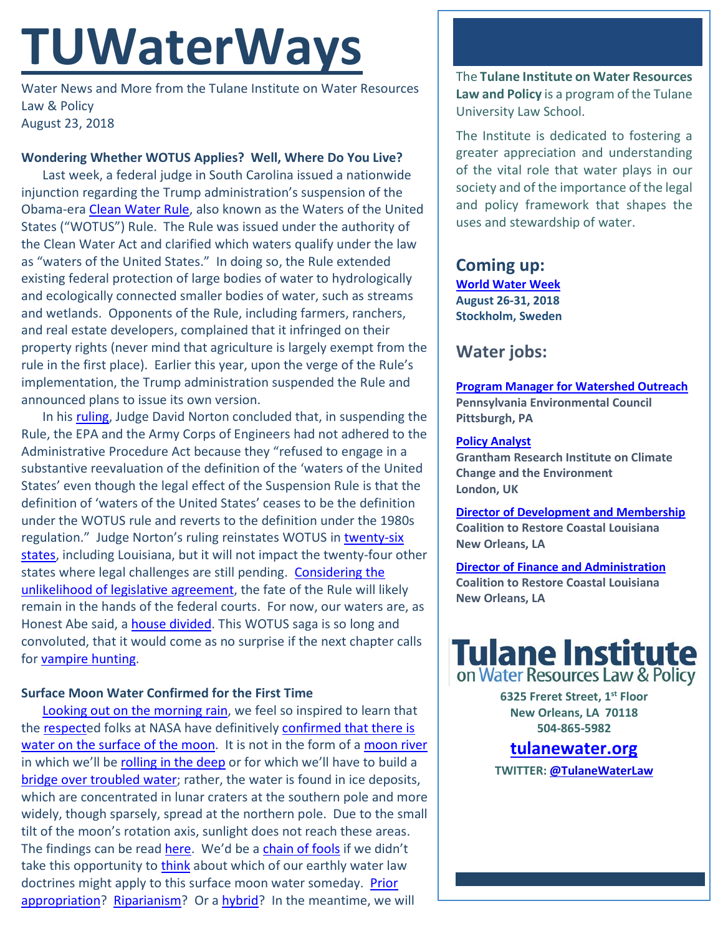# **TUWaterWays**

Water News and More from the Tulane Institute on Water Resources Law & Policy August 23, 2018

## **Wondering Whether WOTUS Applies? Well, Where Do You Live?**

Last week, a federal judge in South Carolina issued a nationwide injunction regarding the Trump administration's suspension of the Obama-era [Clean Water Rule,](https://en.wikipedia.org/wiki/Clean_Water_Rule) also known as the Waters of the United States ("WOTUS") Rule. The Rule was issued under the authority of the Clean Water Act and clarified which waters qualify under the law as "waters of the United States." In doing so, the Rule extended existing federal protection of large bodies of water to hydrologically and ecologically connected smaller bodies of water, such as streams and wetlands. Opponents of the Rule, including farmers, ranchers, and real estate developers, complained that it infringed on their property rights (never mind that agriculture is largely exempt from the rule in the first place). Earlier this year, upon the verge of the Rule's implementation, the Trump administration suspended the Rule and announced plans to issue its own version.

In his [ruling,](https://www.southernenvironment.org/uploads/words_docs/Clean_Water_Rule_Order_Granting_MSJ.pdf) Judge David Norton concluded that, in suspending the Rule, the EPA and the Army Corps of Engineers had not adhered to the Administrative Procedure Act because they "refused to engage in a substantive reevaluation of the definition of the 'waters of the United States' even though the legal effect of the Suspension Rule is that the definition of 'waters of the United States' ceases to be the definition under the WOTUS rule and reverts to the definition under the 1980s regulation." Judge Norton's ruling reinstates WOTUS in [twenty-six](https://www.eenews.net/stories/1060094329)  [states,](https://www.eenews.net/stories/1060094329) including Louisiana, but it will not impact the twenty-four other states where legal challenges are still pending. [Considering the](https://www.eenews.net/eedaily/2018/08/21/stories/1060094819)  [unlikelihood of legislative agreement,](https://www.eenews.net/eedaily/2018/08/21/stories/1060094819) the fate of the Rule will likely remain in the hands of the federal courts. For now, our waters are, as Honest Abe said, a house [divided.](https://en.wikipedia.org/wiki/Lincoln%27s_House_Divided_Speech) This WOTUS saga is so long and convoluted, that it would come as no surprise if the next chapter calls for [vampire hunting.](https://www.youtube.com/watch?v=34x6m-ahGIo)

### **Surface Moon Water Confirmed for the First Time**

[Looking out on the morning rain,](https://www.youtube.com/watch?v=XHsnZT7Z2yQ) we feel so inspired to learn that the [respecte](https://www.youtube.com/watch?v=6FOUqQt3Kg0)d folks at NASA have definitively confirmed that there is [water on the surface of the moon.](https://www.jpl.nasa.gov/news/news.php?feature=7218) It is not in the form of a [moon river](https://www.youtube.com/watch?v=a1TsOQeHllI) in which we'll be [rolling in the deep](https://www.youtube.com/watch?v=mvjS8qjqrqQ) or for which we'll have to build a [bridge over troubled water;](https://www.rollingstone.com/music/music-news/aretha-franklin-bridge-over-troubled-water-1971-710602/) rather, the water is found in ice deposits, which are concentrated in lunar craters at the southern pole and more widely, though sparsely, spread at the northern pole. Due to the small tilt of the moon's rotation axis, sunlight does not reach these areas. The findings can be rea[d here.](http://www.pnas.org/content/early/2018/08/14/1802345115) We'd be a [chain of fools](https://www.youtube.com/watch?v=gGAiW5dOnKo) if we didn't take this opportunity to [think](https://www.youtube.com/watch?v=Vet6AHmq3_s) about which of our earthly water law doctrines might apply to this surface moon water someday. Prior [appropriation?](https://en.wikipedia.org/wiki/Prior-appropriation_water_rights) [Riparianism?](https://en.wikipedia.org/wiki/Riparian_water_rights) Or a [hybrid?](http://www.undeerc.org/water/decision-support/water-law/pdf/water-appr-systems.pdf) In the meantime, we will

The **Tulane Institute on Water Resources Law and Policy** is a program of the Tulane University Law School.

The Institute is dedicated to fostering a greater appreciation and understanding of the vital role that water plays in our society and of the importance of the legal and policy framework that shapes the uses and stewardship of water.

## **Coming up: [World Water Week](http://www.worldwaterweek.org/) August 26-31, 2018 Stockholm, Sweden**

# **Water jobs:**

**[Program Manager for Watershed Outreach](https://www.idealist.org/en/nonprofit-job/9cfa38f0fb78445aaebd813f5922aa38-program-manager-for-watershed-outreach-pennsylvania-environmental-council-pittsburgh) Pennsylvania Environmental Council Pittsburgh, PA**

#### **[Policy Analyst](https://www.joshswaterjobs.com/jobs/9440)**

**Grantham Research Institute on Climate Change and the Environment London, UK**

**[Director of Development and Membership](https://crcl.org/about-us/employment-opportunities/20-about-us/employment-opportunities/439-director-of-development-and-membership.html) Coalition to Restore Coastal Louisiana New Orleans, LA**

**[Director of Finance and Administration](https://crcl.org/about-us/employment-opportunities/14-about-us/440-director-of-finance-and-administration.html) Coalition to Restore Coastal Louisiana New Orleans, LA**



**6325 Freret Street, 1st Floor New Orleans, LA 70118 504-865-5982** 

## **tulanewater.org**

**TWITTER[: @TulaneWaterLaw](http://www.twitter.com/TulaneWaterLaw)**